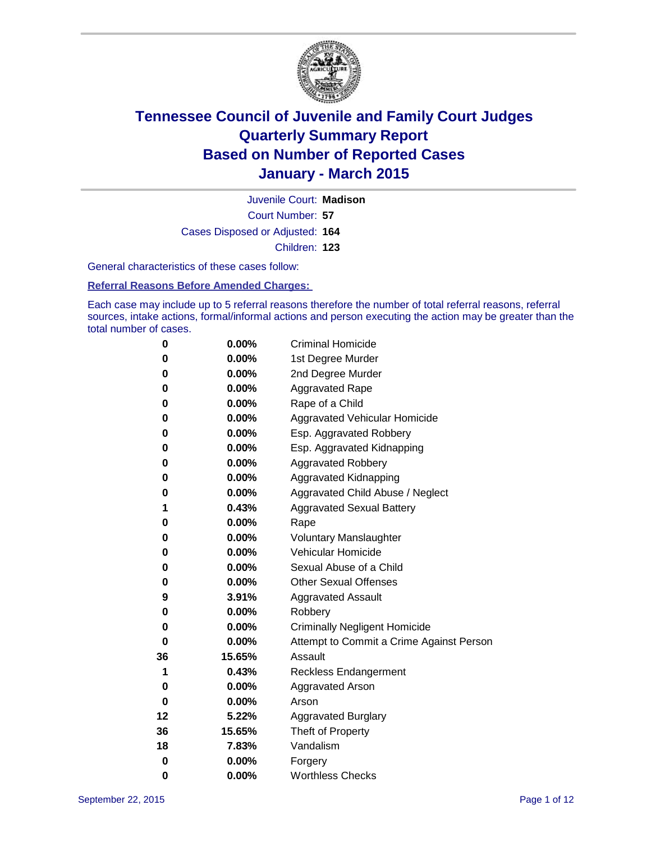

Court Number: **57** Juvenile Court: **Madison** Cases Disposed or Adjusted: **164** Children: **123**

General characteristics of these cases follow:

**Referral Reasons Before Amended Charges:** 

Each case may include up to 5 referral reasons therefore the number of total referral reasons, referral sources, intake actions, formal/informal actions and person executing the action may be greater than the total number of cases.

| 0  | 0.00%    | <b>Criminal Homicide</b>                 |  |  |
|----|----------|------------------------------------------|--|--|
| 0  | 0.00%    | 1st Degree Murder                        |  |  |
| 0  | 0.00%    | 2nd Degree Murder                        |  |  |
| 0  | $0.00\%$ | <b>Aggravated Rape</b>                   |  |  |
| 0  | $0.00\%$ | Rape of a Child                          |  |  |
| 0  | 0.00%    | Aggravated Vehicular Homicide            |  |  |
| 0  | 0.00%    | Esp. Aggravated Robbery                  |  |  |
| 0  | 0.00%    | Esp. Aggravated Kidnapping               |  |  |
| 0  | 0.00%    | <b>Aggravated Robbery</b>                |  |  |
| 0  | 0.00%    | <b>Aggravated Kidnapping</b>             |  |  |
| 0  | $0.00\%$ | Aggravated Child Abuse / Neglect         |  |  |
| 1  | 0.43%    | <b>Aggravated Sexual Battery</b>         |  |  |
| 0  | 0.00%    | Rape                                     |  |  |
| 0  | $0.00\%$ | <b>Voluntary Manslaughter</b>            |  |  |
| 0  | 0.00%    | <b>Vehicular Homicide</b>                |  |  |
| 0  | 0.00%    | Sexual Abuse of a Child                  |  |  |
| 0  | 0.00%    | <b>Other Sexual Offenses</b>             |  |  |
| 9  | 3.91%    | <b>Aggravated Assault</b>                |  |  |
| 0  | 0.00%    | Robbery                                  |  |  |
| 0  | 0.00%    | <b>Criminally Negligent Homicide</b>     |  |  |
| 0  | 0.00%    | Attempt to Commit a Crime Against Person |  |  |
| 36 | 15.65%   | Assault                                  |  |  |
| 1  | 0.43%    | <b>Reckless Endangerment</b>             |  |  |
| 0  | 0.00%    | <b>Aggravated Arson</b>                  |  |  |
| 0  | $0.00\%$ | Arson                                    |  |  |
| 12 | 5.22%    | <b>Aggravated Burglary</b>               |  |  |
| 36 | 15.65%   | Theft of Property                        |  |  |
| 18 | 7.83%    | Vandalism                                |  |  |
| 0  | $0.00\%$ | Forgery                                  |  |  |
| 0  | 0.00%    | <b>Worthless Checks</b>                  |  |  |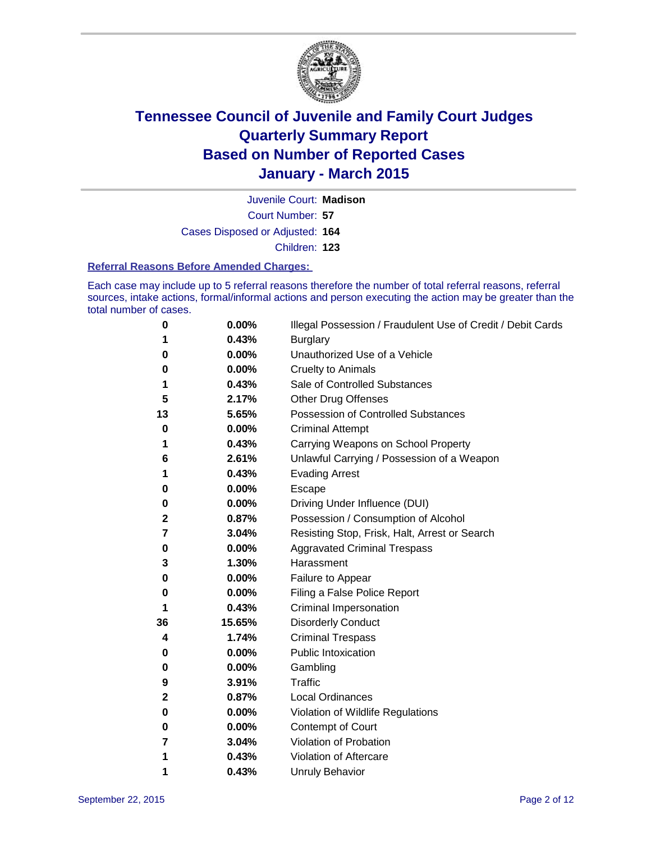

Court Number: **57** Juvenile Court: **Madison** Cases Disposed or Adjusted: **164** Children: **123**

#### **Referral Reasons Before Amended Charges:**

Each case may include up to 5 referral reasons therefore the number of total referral reasons, referral sources, intake actions, formal/informal actions and person executing the action may be greater than the total number of cases.

| 0  | 0.00%  | Illegal Possession / Fraudulent Use of Credit / Debit Cards |
|----|--------|-------------------------------------------------------------|
| 1  | 0.43%  | <b>Burglary</b>                                             |
| 0  | 0.00%  | Unauthorized Use of a Vehicle                               |
| 0  | 0.00%  | <b>Cruelty to Animals</b>                                   |
| 1  | 0.43%  | Sale of Controlled Substances                               |
| 5  | 2.17%  | <b>Other Drug Offenses</b>                                  |
| 13 | 5.65%  | Possession of Controlled Substances                         |
| 0  | 0.00%  | <b>Criminal Attempt</b>                                     |
| 1  | 0.43%  | Carrying Weapons on School Property                         |
| 6  | 2.61%  | Unlawful Carrying / Possession of a Weapon                  |
| 1  | 0.43%  | <b>Evading Arrest</b>                                       |
| 0  | 0.00%  | Escape                                                      |
| 0  | 0.00%  | Driving Under Influence (DUI)                               |
| 2  | 0.87%  | Possession / Consumption of Alcohol                         |
| 7  | 3.04%  | Resisting Stop, Frisk, Halt, Arrest or Search               |
| 0  | 0.00%  | <b>Aggravated Criminal Trespass</b>                         |
| 3  | 1.30%  | Harassment                                                  |
| 0  | 0.00%  | Failure to Appear                                           |
| 0  | 0.00%  | Filing a False Police Report                                |
| 1  | 0.43%  | Criminal Impersonation                                      |
| 36 | 15.65% | <b>Disorderly Conduct</b>                                   |
| 4  | 1.74%  | <b>Criminal Trespass</b>                                    |
| 0  | 0.00%  | <b>Public Intoxication</b>                                  |
| 0  | 0.00%  | Gambling                                                    |
| 9  | 3.91%  | <b>Traffic</b>                                              |
| 2  | 0.87%  | <b>Local Ordinances</b>                                     |
| 0  | 0.00%  | Violation of Wildlife Regulations                           |
| 0  | 0.00%  | Contempt of Court                                           |
| 7  | 3.04%  | Violation of Probation                                      |
| 1  | 0.43%  | Violation of Aftercare                                      |
| 1  | 0.43%  | <b>Unruly Behavior</b>                                      |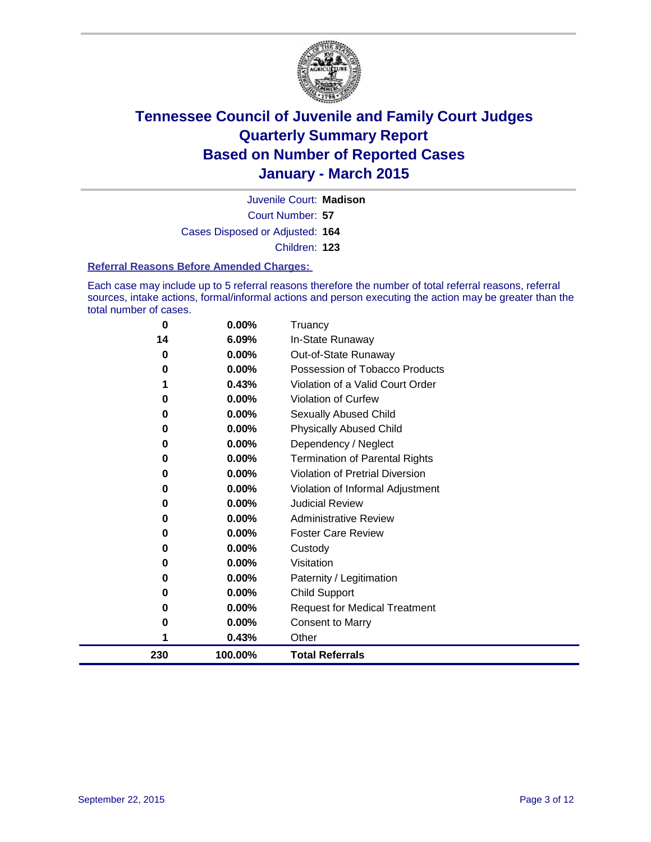

Court Number: **57** Juvenile Court: **Madison** Cases Disposed or Adjusted: **164** Children: **123**

#### **Referral Reasons Before Amended Charges:**

Each case may include up to 5 referral reasons therefore the number of total referral reasons, referral sources, intake actions, formal/informal actions and person executing the action may be greater than the total number of cases.

| 0   | 0.00%    | Truancy                                |
|-----|----------|----------------------------------------|
| 14  | 6.09%    | In-State Runaway                       |
| 0   | 0.00%    | Out-of-State Runaway                   |
| 0   | 0.00%    | Possession of Tobacco Products         |
| 1   | 0.43%    | Violation of a Valid Court Order       |
| 0   | $0.00\%$ | <b>Violation of Curfew</b>             |
| 0   | 0.00%    | Sexually Abused Child                  |
| 0   | $0.00\%$ | <b>Physically Abused Child</b>         |
| 0   | 0.00%    | Dependency / Neglect                   |
| 0   | $0.00\%$ | <b>Termination of Parental Rights</b>  |
| 0   | $0.00\%$ | <b>Violation of Pretrial Diversion</b> |
| 0   | $0.00\%$ | Violation of Informal Adjustment       |
| 0   | $0.00\%$ | <b>Judicial Review</b>                 |
| 0   | $0.00\%$ | <b>Administrative Review</b>           |
| 0   | $0.00\%$ | <b>Foster Care Review</b>              |
| 0   | $0.00\%$ | Custody                                |
| 0   | 0.00%    | Visitation                             |
| 0   | $0.00\%$ | Paternity / Legitimation               |
| 0   | $0.00\%$ | Child Support                          |
| 0   | 0.00%    | <b>Request for Medical Treatment</b>   |
| 0   | 0.00%    | <b>Consent to Marry</b>                |
|     | 0.43%    | Other                                  |
| 230 | 100.00%  | <b>Total Referrals</b>                 |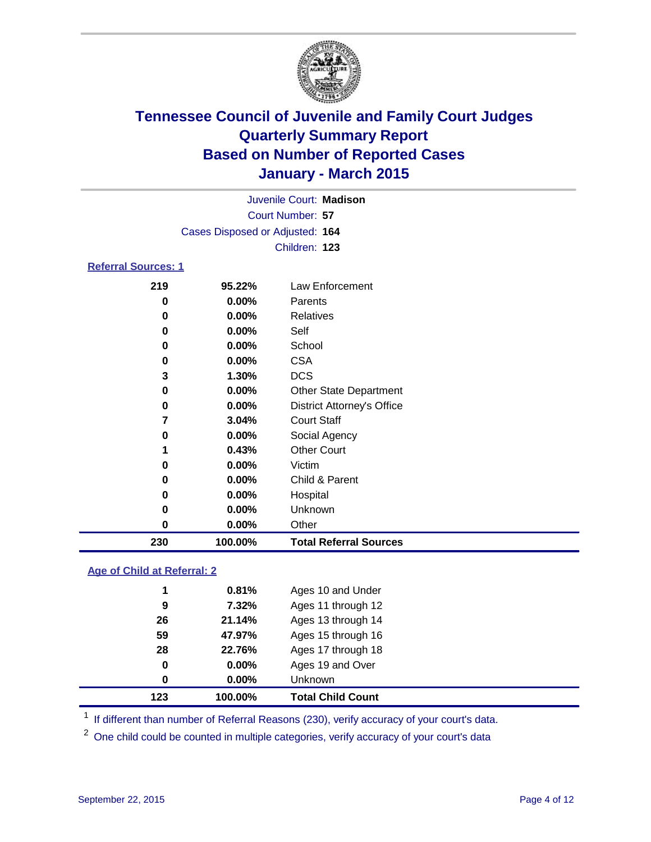

|                            | Juvenile Court: Madison         |                    |
|----------------------------|---------------------------------|--------------------|
|                            | Court Number: 57                |                    |
|                            | Cases Disposed or Adjusted: 164 |                    |
|                            | Children: 123                   |                    |
| <b>Referral Sources: 1</b> |                                 |                    |
| <b>040</b>                 | OF 2201                         | $l$ au Enforcement |

| 230   | 100.00%  | <b>Total Referral Sources</b>     |
|-------|----------|-----------------------------------|
| 0     | $0.00\%$ | Other                             |
| 0     | $0.00\%$ | Unknown                           |
| 0     | $0.00\%$ | Hospital                          |
| 0     | $0.00\%$ | Child & Parent                    |
| 0     | $0.00\%$ | Victim                            |
|       | 0.43%    | <b>Other Court</b>                |
| 0     | $0.00\%$ | Social Agency                     |
| 7     | 3.04%    | <b>Court Staff</b>                |
| 0     | $0.00\%$ | <b>District Attorney's Office</b> |
| 0     | $0.00\%$ | <b>Other State Department</b>     |
| 3     | 1.30%    | <b>DCS</b>                        |
| 0     | $0.00\%$ | <b>CSA</b>                        |
| 0     | $0.00\%$ | School                            |
| 0     | $0.00\%$ | Self                              |
| 0     | $0.00\%$ | Relatives                         |
| 0     | 0.00%    | Parents                           |
| 2 I Y | 99.ZZ70  | Law Eniolcenient                  |

### **Age of Child at Referral: 2**

| 123 | 100.00%  | <b>Total Child Count</b> |
|-----|----------|--------------------------|
| 0   | $0.00\%$ | Unknown                  |
| 0   | $0.00\%$ | Ages 19 and Over         |
| 28  | 22.76%   | Ages 17 through 18       |
| 59  | 47.97%   | Ages 15 through 16       |
| 26  | 21.14%   | Ages 13 through 14       |
| 9   | 7.32%    | Ages 11 through 12       |
| 1   | 0.81%    | Ages 10 and Under        |

<sup>1</sup> If different than number of Referral Reasons (230), verify accuracy of your court's data.

One child could be counted in multiple categories, verify accuracy of your court's data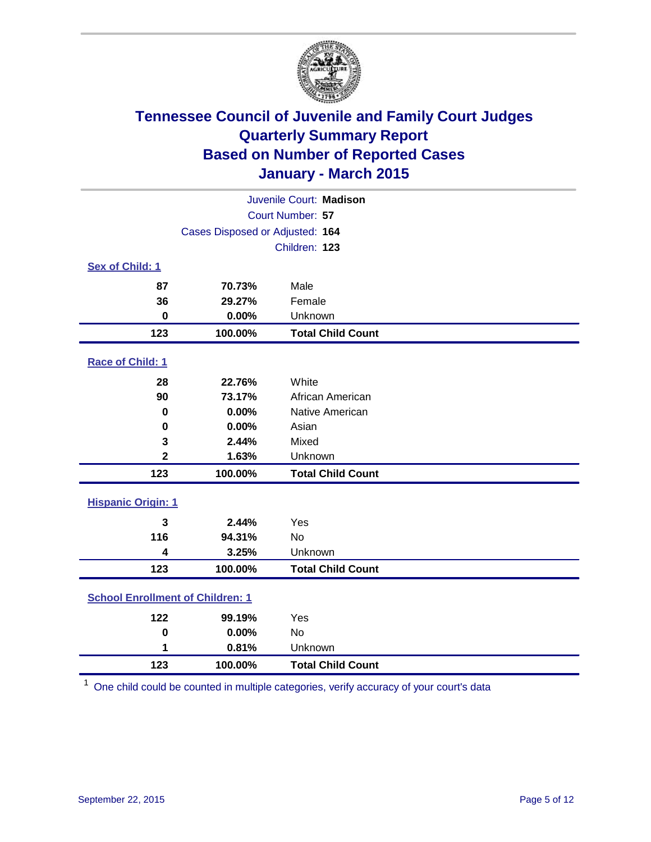

| Juvenile Court: Madison                 |                                 |                          |  |  |
|-----------------------------------------|---------------------------------|--------------------------|--|--|
|                                         | Court Number: 57                |                          |  |  |
|                                         | Cases Disposed or Adjusted: 164 |                          |  |  |
|                                         |                                 | Children: 123            |  |  |
| Sex of Child: 1                         |                                 |                          |  |  |
| 87                                      | 70.73%                          | Male                     |  |  |
| 36                                      | 29.27%                          | Female                   |  |  |
| $\mathbf 0$                             | 0.00%                           | Unknown                  |  |  |
| 123                                     | 100.00%                         | <b>Total Child Count</b> |  |  |
| Race of Child: 1                        |                                 |                          |  |  |
| 28                                      | 22.76%                          | White                    |  |  |
| 90                                      | 73.17%                          | African American         |  |  |
| $\bf{0}$                                | 0.00%                           | Native American          |  |  |
| 0                                       | 0.00%                           | Asian                    |  |  |
| 3                                       | 2.44%                           | Mixed                    |  |  |
| $\overline{2}$                          | 1.63%                           | Unknown                  |  |  |
| 123                                     | 100.00%                         | <b>Total Child Count</b> |  |  |
| <b>Hispanic Origin: 1</b>               |                                 |                          |  |  |
| $\overline{\mathbf{3}}$                 | 2.44%                           | Yes                      |  |  |
| 116                                     | 94.31%                          | <b>No</b>                |  |  |
| $\overline{\mathbf{4}}$                 | 3.25%                           | Unknown                  |  |  |
| 123                                     | 100.00%                         | <b>Total Child Count</b> |  |  |
| <b>School Enrollment of Children: 1</b> |                                 |                          |  |  |
| 122                                     | 99.19%                          | Yes                      |  |  |
| $\mathbf 0$                             | 0.00%                           | <b>No</b>                |  |  |
| 1                                       | 0.81%                           | Unknown                  |  |  |
| 123                                     | 100.00%                         | <b>Total Child Count</b> |  |  |

One child could be counted in multiple categories, verify accuracy of your court's data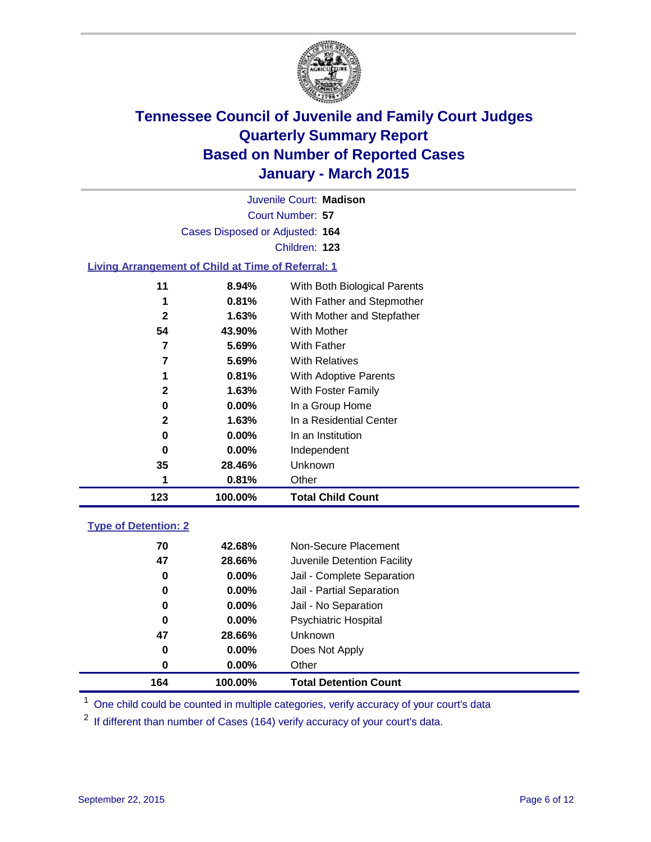

|                                                    |                                 | Juvenile Court: Madison      |
|----------------------------------------------------|---------------------------------|------------------------------|
|                                                    |                                 | Court Number: 57             |
|                                                    | Cases Disposed or Adjusted: 164 |                              |
|                                                    |                                 | Children: 123                |
| Living Arrangement of Child at Time of Referral: 1 |                                 |                              |
| 11                                                 | $8.94\%$                        | With Both Biological Parents |
| 1                                                  | 0.81%                           | With Father and Stepmother   |
| 2                                                  | 1.63%                           | With Mother and Stepfather   |
| 54                                                 | 43.90%                          | With Mother                  |
|                                                    | 5.69%                           | With Father                  |

**5.69%** With Relatives

| 123          | 100.00%  | <b>Total Child Count</b> |  |
|--------------|----------|--------------------------|--|
| 1            | 0.81%    | Other                    |  |
| 35           | 28.46%   | <b>Unknown</b>           |  |
| 0            | 0.00%    | Independent              |  |
| 0            | $0.00\%$ | In an Institution        |  |
| $\mathbf{2}$ | 1.63%    | In a Residential Center  |  |
| 0            | 0.00%    | In a Group Home          |  |
| $\mathbf{2}$ | 1.63%    | With Foster Family       |  |
| 1            | 0.81%    | With Adoptive Parents    |  |
|              |          |                          |  |

### **Type of Detention: 2**

| 164 | 100.00%  | <b>Total Detention Count</b> |
|-----|----------|------------------------------|
| 0   | $0.00\%$ | Other                        |
| 0   | $0.00\%$ | Does Not Apply               |
| 47  | 28.66%   | <b>Unknown</b>               |
| 0   | $0.00\%$ | <b>Psychiatric Hospital</b>  |
| 0   | $0.00\%$ | Jail - No Separation         |
| 0   | 0.00%    | Jail - Partial Separation    |
| 0   | $0.00\%$ | Jail - Complete Separation   |
| 47  | 28.66%   | Juvenile Detention Facility  |
| 70  | 42.68%   | Non-Secure Placement         |
|     |          |                              |

<sup>1</sup> One child could be counted in multiple categories, verify accuracy of your court's data

If different than number of Cases (164) verify accuracy of your court's data.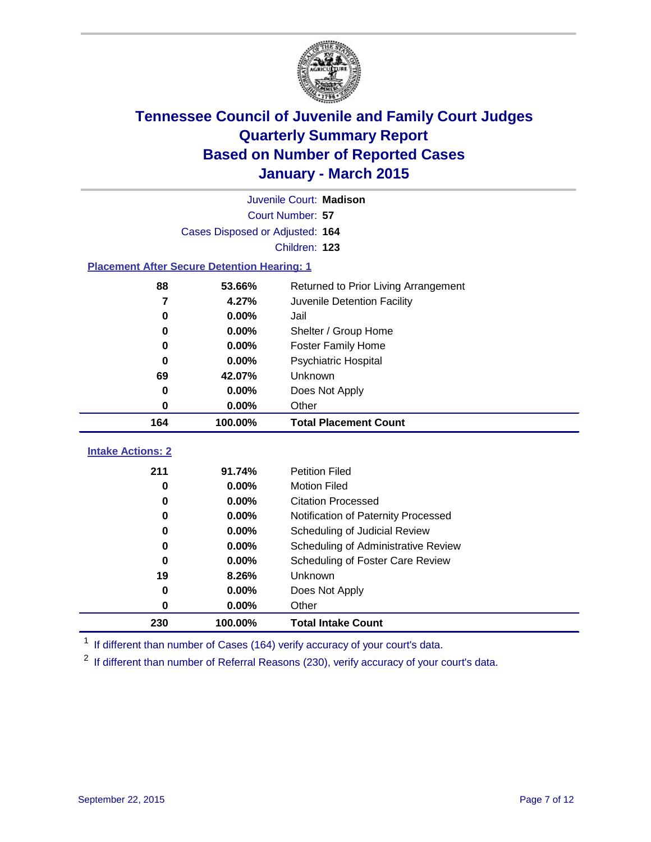

|                                                    | Juvenile Court: Madison         |                                      |  |  |  |
|----------------------------------------------------|---------------------------------|--------------------------------------|--|--|--|
|                                                    | Court Number: 57                |                                      |  |  |  |
|                                                    | Cases Disposed or Adjusted: 164 |                                      |  |  |  |
|                                                    |                                 | Children: 123                        |  |  |  |
| <b>Placement After Secure Detention Hearing: 1</b> |                                 |                                      |  |  |  |
| 88                                                 | 53.66%                          | Returned to Prior Living Arrangement |  |  |  |
| 7                                                  | 4.27%                           | Juvenile Detention Facility          |  |  |  |
| 0                                                  | 0.00%                           | Jail                                 |  |  |  |
| 0                                                  | 0.00%                           | Shelter / Group Home                 |  |  |  |
| $\bf{0}$                                           | 0.00%                           | <b>Foster Family Home</b>            |  |  |  |
| $\bf{0}$                                           | 0.00%                           | Psychiatric Hospital                 |  |  |  |
| 69                                                 | 42.07%                          | Unknown                              |  |  |  |
| 0                                                  | 0.00%                           | Does Not Apply                       |  |  |  |
| 0                                                  | 0.00%                           | Other                                |  |  |  |
| 164                                                | 100.00%                         | <b>Total Placement Count</b>         |  |  |  |
| <b>Intake Actions: 2</b>                           |                                 |                                      |  |  |  |
| 211                                                | 91.74%                          | <b>Petition Filed</b>                |  |  |  |
| 0                                                  | 0.00%                           | <b>Motion Filed</b>                  |  |  |  |
| 0                                                  | 0.00%                           | <b>Citation Processed</b>            |  |  |  |
| 0                                                  | 0.00%                           | Notification of Paternity Processed  |  |  |  |
| 0                                                  | 0.00%                           | Scheduling of Judicial Review        |  |  |  |
| $\bf{0}$                                           | 0.00%                           | Scheduling of Administrative Review  |  |  |  |
| 0                                                  |                                 |                                      |  |  |  |
|                                                    | 0.00%                           | Scheduling of Foster Care Review     |  |  |  |
| 19                                                 | 8.26%                           | Unknown                              |  |  |  |
| 0                                                  | 0.00%                           | Does Not Apply                       |  |  |  |
| $\bf{0}$                                           | 0.00%                           | Other                                |  |  |  |

<sup>1</sup> If different than number of Cases (164) verify accuracy of your court's data.

<sup>2</sup> If different than number of Referral Reasons (230), verify accuracy of your court's data.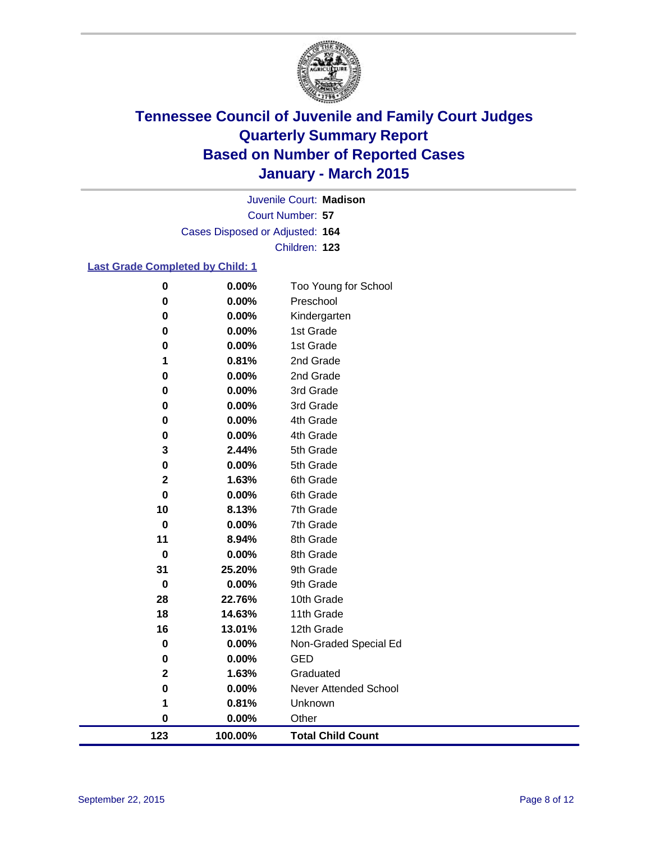

Court Number: **57** Juvenile Court: **Madison** Cases Disposed or Adjusted: **164** Children: **123**

### **Last Grade Completed by Child: 1**

| 123            | 100.00%        | <b>Total Child Count</b>     |
|----------------|----------------|------------------------------|
| $\bf{0}$       | 0.00%          | Other                        |
| 1              | 0.81%          | Unknown                      |
| $\bf{0}$       | 0.00%          | <b>Never Attended School</b> |
| $\mathbf 2$    | 1.63%          | Graduated                    |
| 0              | 0.00%          | <b>GED</b>                   |
| $\pmb{0}$      | 0.00%          | Non-Graded Special Ed        |
| 16             | 13.01%         | 12th Grade                   |
| 18             | 14.63%         | 11th Grade                   |
| 28             | 22.76%         | 10th Grade                   |
| 0              | 0.00%          | 9th Grade                    |
| 31             | 25.20%         | 9th Grade                    |
| $\bf{0}$       | 0.00%          | 8th Grade                    |
| 11             | 8.94%          | 8th Grade                    |
| $\bf{0}$       | 0.00%          | 7th Grade                    |
| 10             | 8.13%          | 7th Grade                    |
| $\mathbf 0$    | 0.00%          | 6th Grade                    |
| $\mathbf{2}$   | 1.63%          | 6th Grade                    |
| $\bf{0}$       | 0.00%          | 5th Grade                    |
| 3              | 2.44%          | 5th Grade                    |
| 0              | 0.00%          | 4th Grade                    |
| 0              | 0.00%          | 4th Grade                    |
| 0              | 0.00%          | 3rd Grade                    |
| 0              | 0.00%          | 3rd Grade                    |
| 0              | 0.00%          | 2nd Grade                    |
| $\pmb{0}$<br>1 | 0.00%<br>0.81% | 1st Grade<br>2nd Grade       |
| $\pmb{0}$      | 0.00%          | 1st Grade                    |
| $\bf{0}$       | 0.00%          | Kindergarten                 |
| $\bf{0}$       | 0.00%          | Preschool                    |
| $\bf{0}$       | 0.00%          | Too Young for School         |
|                |                |                              |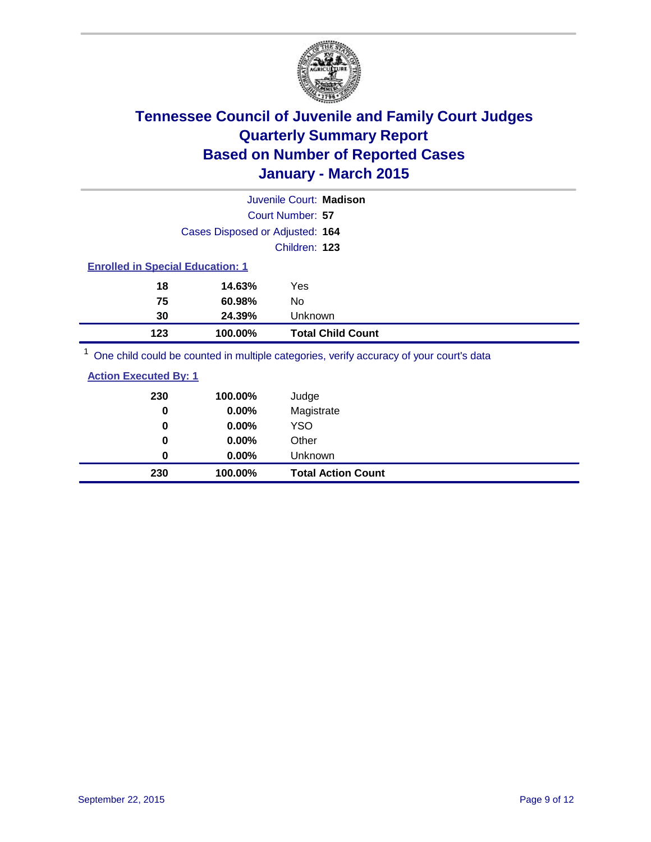

|                |                                         | Juvenile Court: Madison |                          |  |  |
|----------------|-----------------------------------------|-------------------------|--------------------------|--|--|
|                |                                         | Court Number: 57        |                          |  |  |
|                | Cases Disposed or Adjusted: 164         |                         |                          |  |  |
|                |                                         | Children: 123           |                          |  |  |
|                | <b>Enrolled in Special Education: 1</b> |                         |                          |  |  |
| 18             | 14.63%                                  | Yes                     |                          |  |  |
| 75             | 60.98%                                  | No.                     |                          |  |  |
| 30             | 24.39%                                  | Unknown                 |                          |  |  |
| 123            | 100.00%                                 |                         | <b>Total Child Count</b> |  |  |
| $\overline{A}$ |                                         |                         |                          |  |  |

<sup>1</sup> One child could be counted in multiple categories, verify accuracy of your court's data

|--|

| 230      | 100.00%  | <b>Total Action Count</b> |
|----------|----------|---------------------------|
| 0        | $0.00\%$ | Unknown                   |
| $\bf{0}$ | $0.00\%$ | Other                     |
| 0        | $0.00\%$ | <b>YSO</b>                |
| 0        | 0.00%    | Magistrate                |
| 230      | 100.00%  | Judge                     |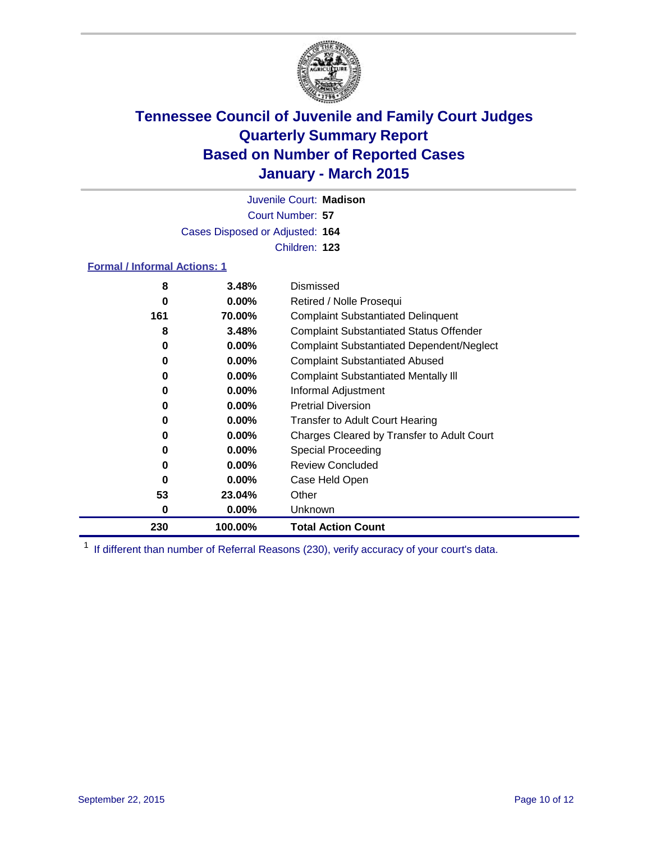

Court Number: **57** Juvenile Court: **Madison** Cases Disposed or Adjusted: **164** Children: **123**

#### **Formal / Informal Actions: 1**

| 8   | 3.48%    | Dismissed                                        |
|-----|----------|--------------------------------------------------|
| 0   | $0.00\%$ | Retired / Nolle Prosequi                         |
| 161 | 70.00%   | <b>Complaint Substantiated Delinquent</b>        |
| 8   | 3.48%    | <b>Complaint Substantiated Status Offender</b>   |
| 0   | $0.00\%$ | <b>Complaint Substantiated Dependent/Neglect</b> |
| 0   | $0.00\%$ | <b>Complaint Substantiated Abused</b>            |
| 0   | $0.00\%$ | <b>Complaint Substantiated Mentally III</b>      |
| 0   | $0.00\%$ | Informal Adjustment                              |
| 0   | $0.00\%$ | <b>Pretrial Diversion</b>                        |
| 0   | $0.00\%$ | <b>Transfer to Adult Court Hearing</b>           |
| 0   | $0.00\%$ | Charges Cleared by Transfer to Adult Court       |
| 0   | $0.00\%$ | Special Proceeding                               |
| 0   | $0.00\%$ | <b>Review Concluded</b>                          |
| 0   | $0.00\%$ | Case Held Open                                   |
| 53  | 23.04%   | Other                                            |
| 0   | $0.00\%$ | Unknown                                          |
| 230 | 100.00%  | <b>Total Action Count</b>                        |

<sup>1</sup> If different than number of Referral Reasons (230), verify accuracy of your court's data.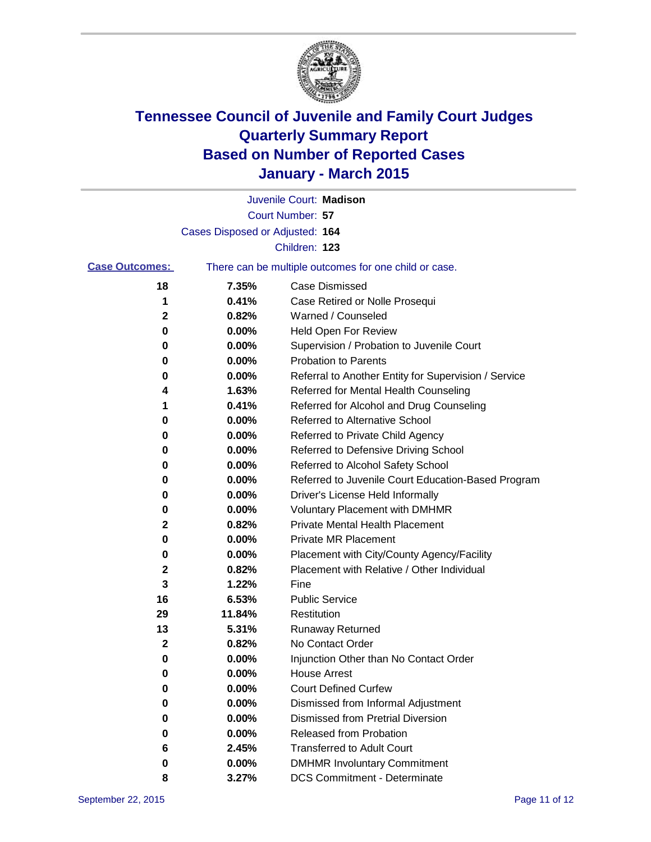

|                       |                                 | Juvenile Court: Madison                               |
|-----------------------|---------------------------------|-------------------------------------------------------|
|                       |                                 | Court Number: 57                                      |
|                       | Cases Disposed or Adjusted: 164 |                                                       |
|                       |                                 | Children: 123                                         |
| <b>Case Outcomes:</b> |                                 | There can be multiple outcomes for one child or case. |
| 18                    | 7.35%                           | <b>Case Dismissed</b>                                 |
| 1                     | 0.41%                           | Case Retired or Nolle Prosequi                        |
| 2                     | 0.82%                           | Warned / Counseled                                    |
| 0                     | 0.00%                           | <b>Held Open For Review</b>                           |
| 0                     | 0.00%                           | Supervision / Probation to Juvenile Court             |
| 0                     | 0.00%                           | <b>Probation to Parents</b>                           |
| 0                     | 0.00%                           | Referral to Another Entity for Supervision / Service  |
| 4                     | 1.63%                           | Referred for Mental Health Counseling                 |
| 1                     | 0.41%                           | Referred for Alcohol and Drug Counseling              |
| 0                     | 0.00%                           | <b>Referred to Alternative School</b>                 |
| 0                     | 0.00%                           | Referred to Private Child Agency                      |
| 0                     | 0.00%                           | Referred to Defensive Driving School                  |
| 0                     | 0.00%                           | Referred to Alcohol Safety School                     |
| 0                     | 0.00%                           | Referred to Juvenile Court Education-Based Program    |
| 0                     | 0.00%                           | Driver's License Held Informally                      |
| 0                     | 0.00%                           | <b>Voluntary Placement with DMHMR</b>                 |
| 2                     | 0.82%                           | <b>Private Mental Health Placement</b>                |
| 0                     | 0.00%                           | Private MR Placement                                  |
| 0                     | 0.00%                           | Placement with City/County Agency/Facility            |
| 2                     | 0.82%                           | Placement with Relative / Other Individual            |
| 3                     | 1.22%                           | Fine                                                  |
| 16                    | 6.53%                           | <b>Public Service</b>                                 |
| 29                    | 11.84%                          | Restitution                                           |
| 13                    | 5.31%                           | <b>Runaway Returned</b>                               |
| 2                     | 0.82%                           | No Contact Order                                      |
| 0                     | 0.00%                           | Injunction Other than No Contact Order                |
| 0                     | $0.00\%$                        | <b>House Arrest</b>                                   |
| 0                     | 0.00%                           | <b>Court Defined Curfew</b>                           |
| 0                     | 0.00%                           | Dismissed from Informal Adjustment                    |
| 0                     | 0.00%                           | <b>Dismissed from Pretrial Diversion</b>              |
| 0                     | 0.00%                           | Released from Probation                               |
| 6                     | 2.45%                           | <b>Transferred to Adult Court</b>                     |
| 0                     | 0.00%                           | <b>DMHMR Involuntary Commitment</b>                   |
| 8                     | 3.27%                           | <b>DCS Commitment - Determinate</b>                   |